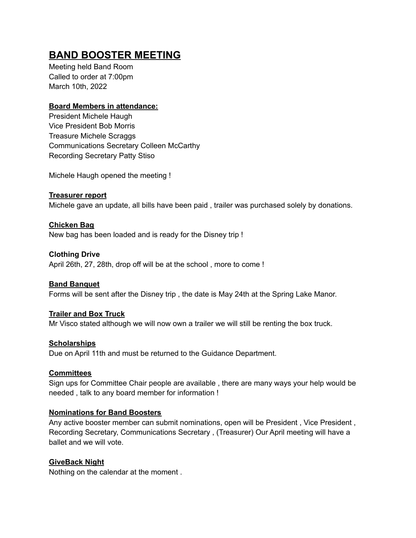# **BAND BOOSTER MEETING**

Meeting held Band Room Called to order at 7:00pm March 10th, 2022

# **Board Members in attendance:**

President Michele Haugh Vice President Bob Morris Treasure Michele Scraggs Communications Secretary Colleen McCarthy Recording Secretary Patty Stiso

Michele Haugh opened the meeting !

**Treasurer report** Michele gave an update, all bills have been paid , trailer was purchased solely by donations.

### **Chicken Bag**

New bag has been loaded and is ready for the Disney trip !

# **Clothing Drive**

April 26th, 27, 28th, drop off will be at the school , more to come !

#### **Band Banquet**

Forms will be sent after the Disney trip , the date is May 24th at the Spring Lake Manor.

# **Trailer and Box Truck**

Mr Visco stated although we will now own a trailer we will still be renting the box truck.

#### **Scholarships**

Due on April 11th and must be returned to the Guidance Department.

#### **Committees**

Sign ups for Committee Chair people are available , there are many ways your help would be needed , talk to any board member for information !

#### **Nominations for Band Boosters**

Any active booster member can submit nominations, open will be President , Vice President , Recording Secretary, Communications Secretary , (Treasurer) Our April meeting will have a ballet and we will vote.

#### **GiveBack Night**

Nothing on the calendar at the moment .